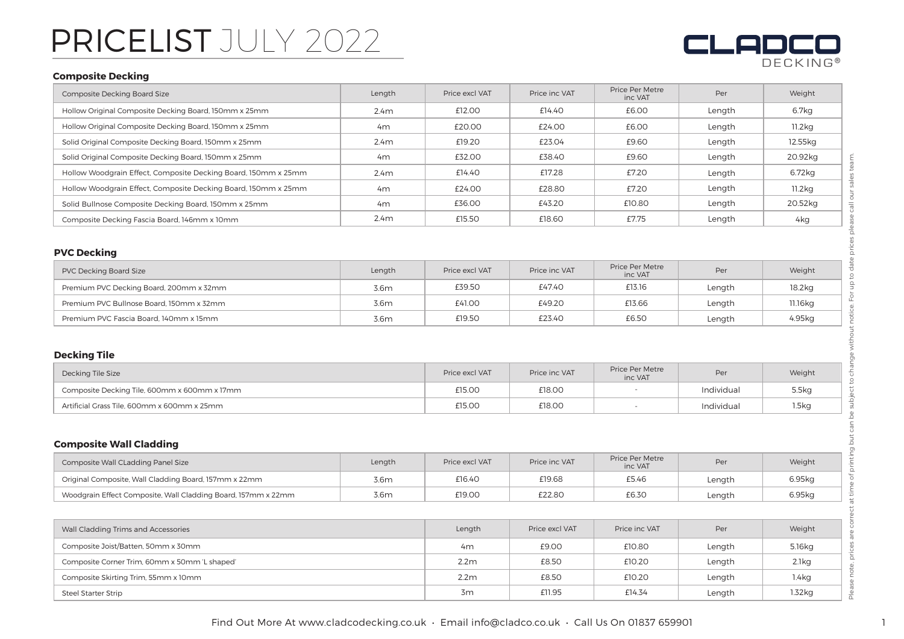## PRICELIST JULY 2022

# DECKING **®**

## **Composite Decking**

| Composite Decking Board Size                                   | Length         | Price excl VAT | Price inc VAT | Price Per Metre<br>inc VAT | Per    | Weight             |
|----------------------------------------------------------------|----------------|----------------|---------------|----------------------------|--------|--------------------|
| Hollow Original Composite Decking Board, 150mm x 25mm          | 2.4m           | £12.00         | £14.40        | £6.00                      | Length | 6.7kg              |
| Hollow Original Composite Decking Board, 150mm x 25mm          | 4 <sub>m</sub> | £20.00         | £24.00        | £6.00                      | Length | 11.2 <sub>kq</sub> |
| Solid Original Composite Decking Board, 150mm x 25mm           | 2.4m           | £19.20         | £23.04        | £9.60                      | Length | 12.55kg            |
| Solid Original Composite Decking Board, 150mm x 25mm           | 4 <sub>m</sub> | £32.00         | £38.40        | £9.60                      | Length | 20.92kg            |
| Hollow Woodgrain Effect, Composite Decking Board, 150mm x 25mm | 2.4m           | £14.40         | £17.28        | £7.20                      | Length | 6.72kg             |
| Hollow Woodgrain Effect, Composite Decking Board, 150mm x 25mm | 4m             | £24.00         | £28.80        | £7.20                      | Length | 11.2 <sub>ka</sub> |
| Solid Bullnose Composite Decking Board, 150mm x 25mm           | 4 <sub>m</sub> | £36.00         | £43.20        | £10.80                     | Length | 20.52kg            |
| Composite Decking Fascia Board, 146mm x 10mm                   | 2.4m           | £15.50         | £18.60        | £7.75                      | Length | 4kg                |

## **PVC Decking**

| PVC Decking Board Size                   | Length | Price excl VAT | Price inc VAT | <b>Price Per Metre</b><br>inc VAT | Per    | Weight  |
|------------------------------------------|--------|----------------|---------------|-----------------------------------|--------|---------|
| Premium PVC Decking Board, 200mm x 32mm  | 3.6m   | £39.50         | £47.40        | £13.16                            | Length | 18.2kg  |
| Premium PVC Bullnose Board, 150mm x 32mm | 3.6m   | £41.00         | £49.20        | £13.66                            | Lenath | 11.16kg |
| Premium PVC Fascia Board, 140mm x 15mm   | 3.6m   | £19.50         | £23.40        | £6.50                             | Length | 4.95kg  |

## **Decking Tile**

| Decking Tile Size                            | Price excl VAT | Price inc VAT | Price Per Metre<br>inc VAT | Per        | Weight |
|----------------------------------------------|----------------|---------------|----------------------------|------------|--------|
| Composite Decking Tile, 600mm x 600mm x 17mm | £15.00         | £18.00        |                            | Individual | 5.5kg  |
| Artificial Grass Tile, 600mm x 600mm x 25mm  | £15.00         | £18.00        |                            | Individual | 1.5kg  |

## **Composite Wall Cladding**

| Composite Wall CLadding Panel Size                            | Length | Price excl VAT | Price inc VAT | Price Per Metre<br>inc VAT | Per    | Weight |
|---------------------------------------------------------------|--------|----------------|---------------|----------------------------|--------|--------|
| Original Composite, Wall Cladding Board, 157mm x 22mm         | 3.6m   | £16.40         | £19.68        | £5.46                      | Lenath | 6.95ka |
| Woodgrain Effect Composite, Wall Cladding Board, 157mm x 22mm | 3.6m   | £19.00         | £22.80        | £6.30                      | Lenath | 6.95kg |

| Wall Cladding Trims and Accessories           | Length           | Price excl VAT | Price inc VAT | Per    | Weight            |
|-----------------------------------------------|------------------|----------------|---------------|--------|-------------------|
| Composite Joist/Batten, 50mm x 30mm           | 4m               | £9.00          | £10.80        | Length | 5.16kg            |
| Composite Corner Trim, 60mm x 50mm 'L shaped' | 2.2 <sub>m</sub> | £8.50          | £10.20        | Length | 2.1kg             |
| Composite Skirting Trim, 55mm x 10mm          | 2.2 <sub>m</sub> | £8.50          | £10.20        | Length | 1.4 <sub>kg</sub> |
| <b>Steel Starter Strip</b>                    | 3m               | £11.95         | £14.34        | Length | $1.32$ kg         |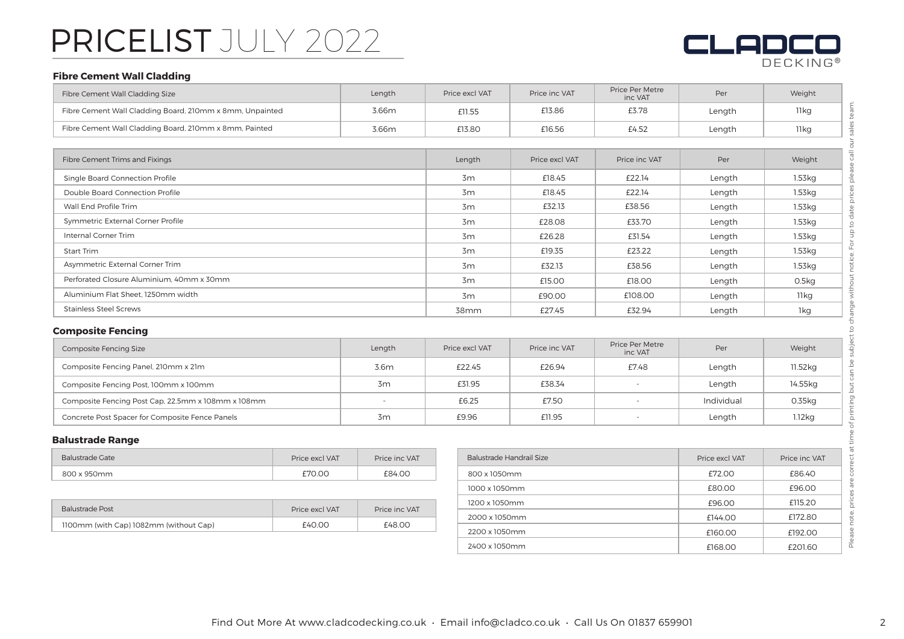## PRICELIST JULY 2022

## en DECKING **®**

## **Fibre Cement Wall Cladding**

| Fibre Cement Wall Cladding Size                          | Length | Price excl VAT | Price inc VAT  | Price Per Metre<br>inc VAT | Per    | Weight           |
|----------------------------------------------------------|--------|----------------|----------------|----------------------------|--------|------------------|
| Fibre Cement Wall Cladding Board, 210mm x 8mm, Unpainted | 3.66m  | £11.55         | £13.86         | £3.78                      | Length | 11 kg            |
| Fibre Cement Wall Cladding Board, 210mm x 8mm, Painted   | 3.66m  | £13.80         | £16.56         | £4.52                      | Length | 11 kg            |
|                                                          |        |                |                |                            |        |                  |
| Fibre Cement Trims and Fixings                           |        | Length         | Price excl VAT | Price inc VAT              | Per    | Weight           |
| Single Board Connection Profile                          |        | 3m             | £18.45         | £22.14                     | Length | $1.53$ kg        |
| Double Board Connection Profile                          |        | 3m             | £18.45         | £22.14                     | Length | 1.53 kg          |
| Wall End Profile Trim                                    |        | 3m             | £32.13         | £38.56                     | Length | $1.53$ kg        |
| Symmetric External Corner Profile                        |        | 3m             | £28.08         | £33.70                     | Length | $1.53$ kg        |
| Internal Corner Trim                                     |        | 3m             | £26.28         | £31.54                     | Length | 1.53 kg          |
| Start Trim                                               |        | 3m             | £19.35         | £23.22                     | Length | 1.53kg           |
| Asymmetric External Corner Trim                          |        | 3m             | £32.13         | £38.56                     | Length | 1.53kg           |
| Perforated Closure Aluminium, 40mm x 30mm                |        | 3m             | £15.00         | £18.00                     | Length | 0.5kg            |
| Aluminium Flat Sheet, 1250mm width                       |        | $Z_{\rm{m}}$   | ran nn         | F10800                     | Inath  | 11k <sub>0</sub> |

3m £90.00

38mm £27.45

### **Composite Fencing**

Stainless Steel Screws

| <b>Composite Fencing Size</b>                      | Length | Price excl VAT | Price inc VAT | Price Per Metre<br>inc VAT | Per        | Weight   |
|----------------------------------------------------|--------|----------------|---------------|----------------------------|------------|----------|
| Composite Fencing Panel, 210mm x 21m               | 3.6m   | £22.45         | £26.94        | £7.48                      | Length     | 11.52 kg |
| Composite Fencing Post, 100mm x 100mm              | 3m     | £31.95         | £38.34        |                            | Length     | 14.55kg  |
| Composite Fencing Post Cap, 22.5mm x 108mm x 108mm | . .    | £6.25          | £7.50         |                            | Individual | 0.35kg   |
| Concrete Post Spacer for Composite Fence Panels    | 3m     | £9.96          | £11.95        |                            | Length     | 1.12kg   |

### **Balustrade Range**

| Balustrade Gate | Price excl VAT | Price inc VAT | Balustrade Handrail Size |
|-----------------|----------------|---------------|--------------------------|
| 800 x 950mm     | £70.00         | £84.00        | 800 x 1050mm             |

| Balustrade Post                        | Price excl VAT | Price inc VAT |  |
|----------------------------------------|----------------|---------------|--|
| 1100mm (with Cap) 1082mm (without Cap) | £40.00         | £48.00        |  |

| Balustrade Handrail Size | Price excl VAT | Price inc VAT |
|--------------------------|----------------|---------------|
| 800 x 1050mm             | £72.00         | £86.40        |
| 1000 x 1050mm            | £80.00         | £96.00        |
| 1200 x 1050mm            | £96.00         | £115.20       |
| 2000 x 1050mm            | £144.00        | £172.80       |
| 2200 x 1050mm            | £160.00        | £192.00       |
| 2400 x 1050mm            | £168.00        | £201.60       |

£108.00

Length

Length

£32.94

11kg

1kg